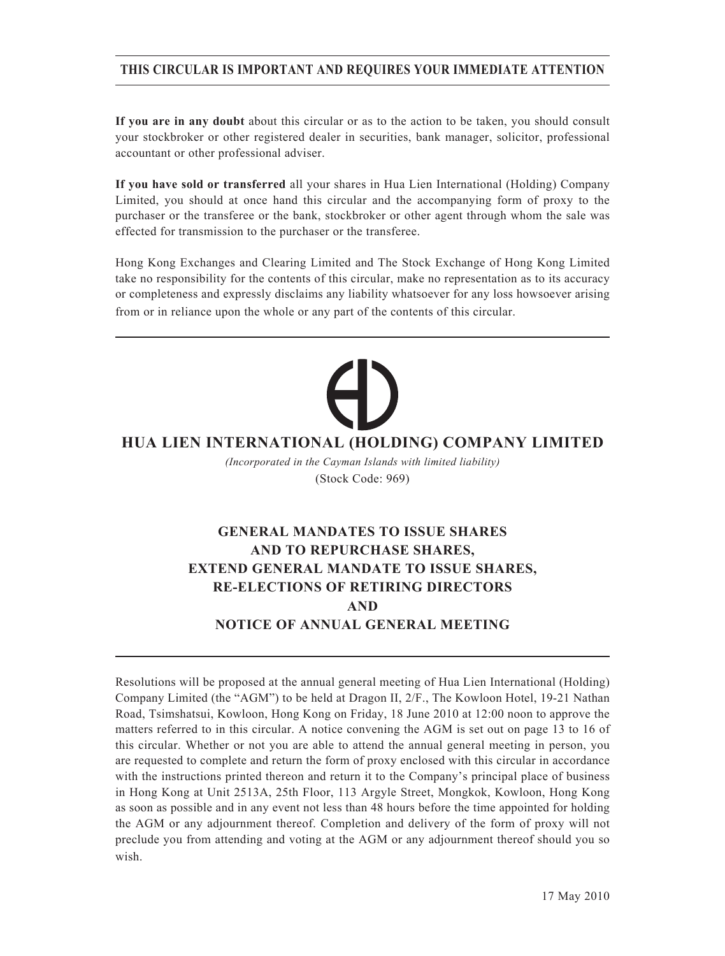## **THIS CIRCULAR IS IMPORTANT AND REQUIRES YOUR IMMEDIATE ATTENTION**

**If you are in any doubt** about this circular or as to the action to be taken, you should consult your stockbroker or other registered dealer in securities, bank manager, solicitor, professional accountant or other professional adviser.

**If you have sold or transferred** all your shares in Hua Lien International (Holding) Company Limited, you should at once hand this circular and the accompanying form of proxy to the purchaser or the transferee or the bank, stockbroker or other agent through whom the sale was effected for transmission to the purchaser or the transferee.

Hong Kong Exchanges and Clearing Limited and The Stock Exchange of Hong Kong Limited take no responsibility for the contents of this circular, make no representation as to its accuracy or completeness and expressly disclaims any liability whatsoever for any loss howsoever arising from or in reliance upon the whole or any part of the contents of this circular.

## **HUA LIEN INTERNATIONAL (HOLDING) COMPANY LIMITED**

*(Incorporated in the Cayman Islands with limited liability)* (Stock Code: 969)

# **GENERAL MANDATES TO ISSUE SHARES AND TO REPURCHASE SHARES, EXTEND GENERAL MANDATE TO ISSUE SHARES, RE-ELECTIONS OF RETIRING DIRECTORS AND NOTICE OF ANNUAL GENERAL MEETING**

Resolutions will be proposed at the annual general meeting of Hua Lien International (Holding) Company Limited (the "AGM") to be held at Dragon II, 2/F., The Kowloon Hotel, 19-21 Nathan Road, Tsimshatsui, Kowloon, Hong Kong on Friday, 18 June 2010 at 12:00 noon to approve the matters referred to in this circular. A notice convening the AGM is set out on page 13 to 16 of this circular. Whether or not you are able to attend the annual general meeting in person, you are requested to complete and return the form of proxy enclosed with this circular in accordance with the instructions printed thereon and return it to the Company's principal place of business in Hong Kong at Unit 2513A, 25th Floor, 113 Argyle Street, Mongkok, Kowloon, Hong Kong as soon as possible and in any event not less than 48 hours before the time appointed for holding the AGM or any adjournment thereof. Completion and delivery of the form of proxy will not preclude you from attending and voting at the AGM or any adjournment thereof should you so wish.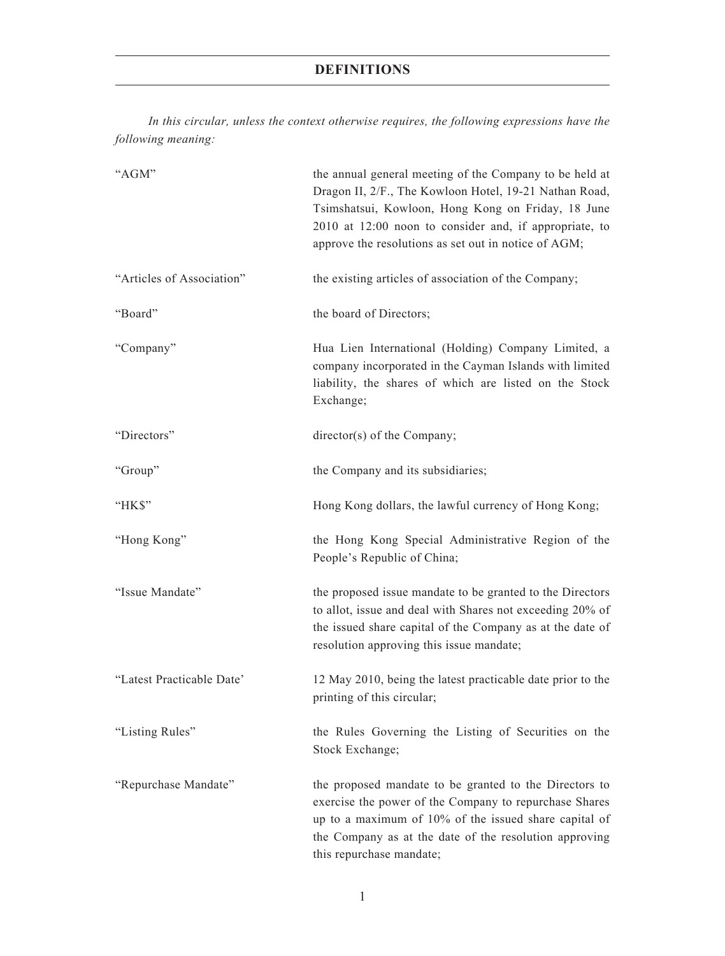## **DEFINITIONS**

*In this circular, unless the context otherwise requires, the following expressions have the following meaning:*

| "AGM"                     | the annual general meeting of the Company to be held at<br>Dragon II, 2/F., The Kowloon Hotel, 19-21 Nathan Road,<br>Tsimshatsui, Kowloon, Hong Kong on Friday, 18 June<br>2010 at 12:00 noon to consider and, if appropriate, to<br>approve the resolutions as set out in notice of AGM; |
|---------------------------|-------------------------------------------------------------------------------------------------------------------------------------------------------------------------------------------------------------------------------------------------------------------------------------------|
| "Articles of Association" | the existing articles of association of the Company;                                                                                                                                                                                                                                      |
| "Board"                   | the board of Directors;                                                                                                                                                                                                                                                                   |
| "Company"                 | Hua Lien International (Holding) Company Limited, a<br>company incorporated in the Cayman Islands with limited<br>liability, the shares of which are listed on the Stock<br>Exchange;                                                                                                     |
| "Directors"               | director(s) of the Company;                                                                                                                                                                                                                                                               |
| "Group"                   | the Company and its subsidiaries;                                                                                                                                                                                                                                                         |
| "HK\$"                    | Hong Kong dollars, the lawful currency of Hong Kong;                                                                                                                                                                                                                                      |
| "Hong Kong"               | the Hong Kong Special Administrative Region of the<br>People's Republic of China;                                                                                                                                                                                                         |
| "Issue Mandate"           | the proposed issue mandate to be granted to the Directors<br>to allot, issue and deal with Shares not exceeding 20% of<br>the issued share capital of the Company as at the date of<br>resolution approving this issue mandate;                                                           |
| "Latest Practicable Date" | 12 May 2010, being the latest practicable date prior to the<br>printing of this circular;                                                                                                                                                                                                 |
| "Listing Rules"           | the Rules Governing the Listing of Securities on the<br>Stock Exchange;                                                                                                                                                                                                                   |
| "Repurchase Mandate"      | the proposed mandate to be granted to the Directors to<br>exercise the power of the Company to repurchase Shares<br>up to a maximum of 10% of the issued share capital of<br>the Company as at the date of the resolution approving<br>this repurchase mandate;                           |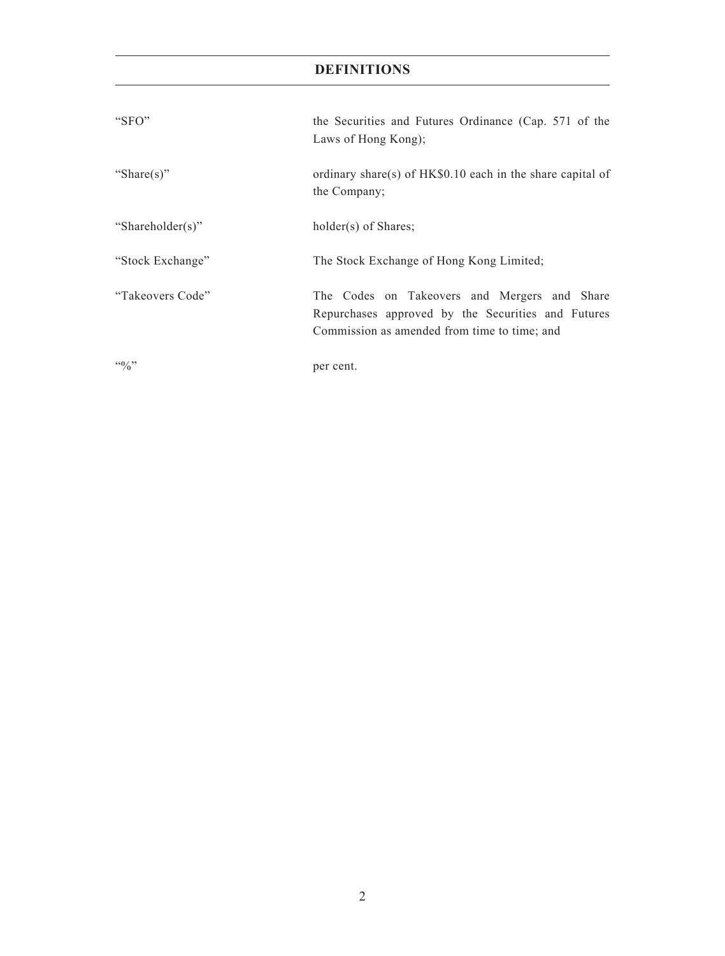## **DEFINITIONS**

| "SFO"              | the Securities and Futures Ordinance (Cap. 571 of the<br>Laws of Hong Kong);                                                                       |
|--------------------|----------------------------------------------------------------------------------------------------------------------------------------------------|
| "Share(s)"         | ordinary share(s) of HK\$0.10 each in the share capital of<br>the Company;                                                                         |
| "Shareholder(s)"   | holder(s) of Shares;                                                                                                                               |
| "Stock Exchange"   | The Stock Exchange of Hong Kong Limited;                                                                                                           |
| "Takeovers Code"   | The Codes on Takeovers and Mergers and Share<br>Repurchases approved by the Securities and Futures<br>Commission as amended from time to time; and |
| $\mathfrak{g}_{0}$ | per cent.                                                                                                                                          |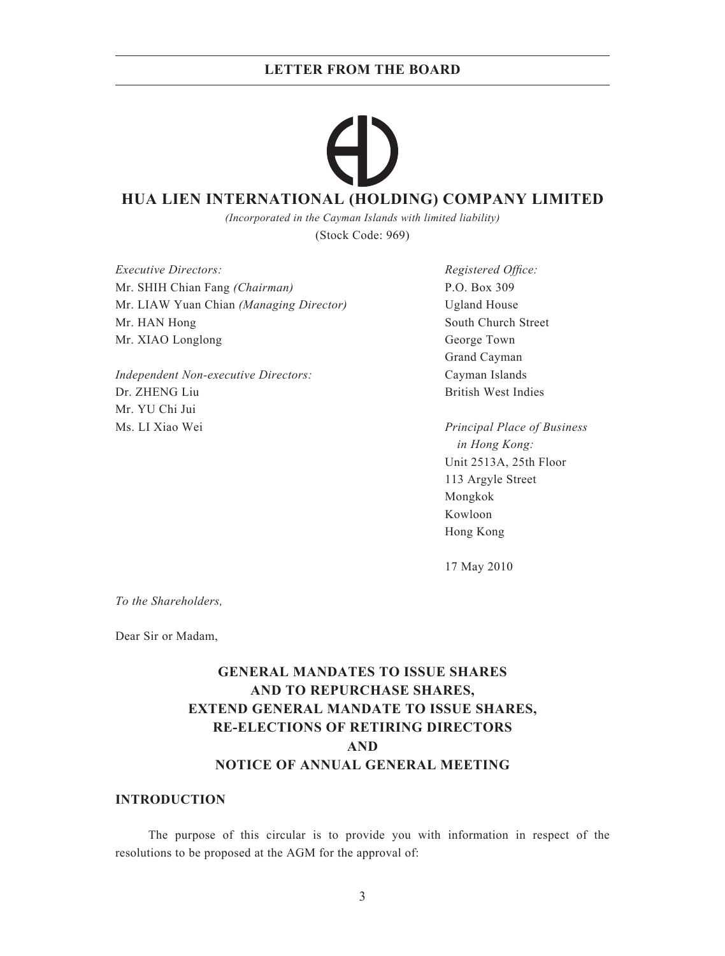## **HUA LIEN INTERNATIONAL (HOLDING) COMPANY LIMITED**

*(Incorporated in the Cayman Islands with limited liability)* (Stock Code: 969)

*Executive Directors:* Registered Office: Mr. SHIH Chian Fang *(Chairman)* P.O. Box 309 Mr. LIAW Yuan Chian *(Managing Director)* Ugland House Mr. HAN Hong South Church Street Mr. XIAO Longlong George Town

*Independent Non-executive Directors:* Cayman Islands Dr. ZHENG Liu British West Indies Mr. YU Chi Jui Ms. LI Xiao Wei *Principal Place of Business*

Grand Cayman

 *in Hong Kong:* Unit 2513A, 25th Floor 113 Argyle Street Mongkok Kowloon Hong Kong

17 May 2010

*To the Shareholders,*

Dear Sir or Madam,

# **GENERAL MANDATES TO ISSUE SHARES AND TO REPURCHASE SHARES, EXTEND GENERAL MANDATE TO ISSUE SHARES, RE-ELECTIONS OF RETIRING DIRECTORS AND NOTICE OF ANNUAL GENERAL MEETING**

#### **INTRODUCTION**

The purpose of this circular is to provide you with information in respect of the resolutions to be proposed at the AGM for the approval of: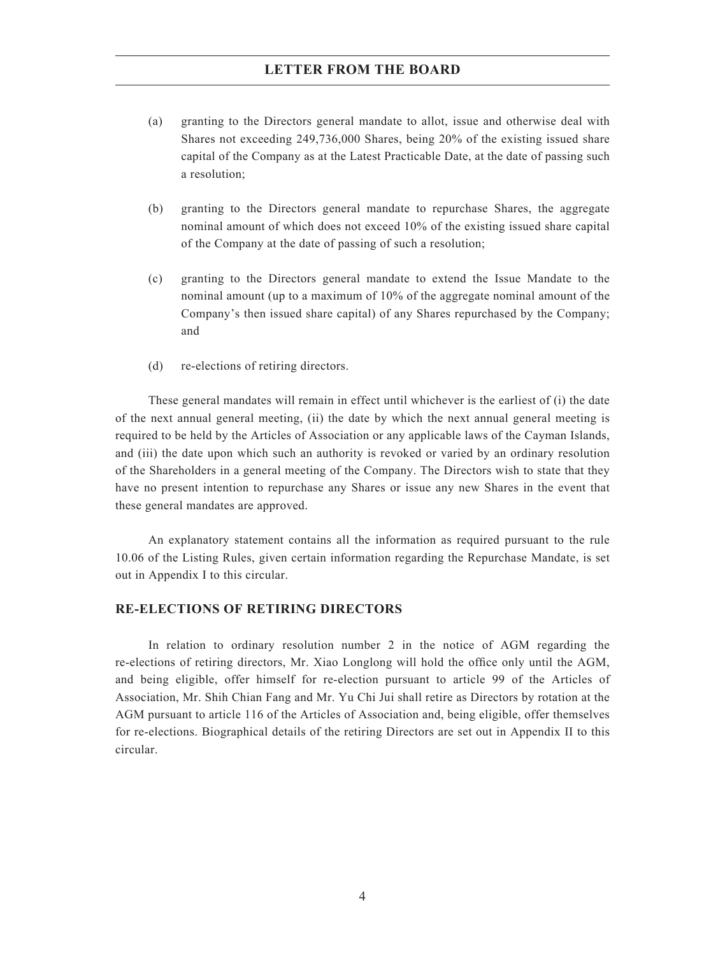- (a) granting to the Directors general mandate to allot, issue and otherwise deal with Shares not exceeding 249,736,000 Shares, being 20% of the existing issued share capital of the Company as at the Latest Practicable Date, at the date of passing such a resolution;
- (b) granting to the Directors general mandate to repurchase Shares, the aggregate nominal amount of which does not exceed 10% of the existing issued share capital of the Company at the date of passing of such a resolution;
- (c) granting to the Directors general mandate to extend the Issue Mandate to the nominal amount (up to a maximum of 10% of the aggregate nominal amount of the Company's then issued share capital) of any Shares repurchased by the Company; and
- (d) re-elections of retiring directors.

These general mandates will remain in effect until whichever is the earliest of (i) the date of the next annual general meeting, (ii) the date by which the next annual general meeting is required to be held by the Articles of Association or any applicable laws of the Cayman Islands, and (iii) the date upon which such an authority is revoked or varied by an ordinary resolution of the Shareholders in a general meeting of the Company. The Directors wish to state that they have no present intention to repurchase any Shares or issue any new Shares in the event that these general mandates are approved.

An explanatory statement contains all the information as required pursuant to the rule 10.06 of the Listing Rules, given certain information regarding the Repurchase Mandate, is set out in Appendix I to this circular.

#### **RE-ELECTIONS OF RETIRING DIRECTORS**

In relation to ordinary resolution number 2 in the notice of AGM regarding the re-elections of retiring directors, Mr. Xiao Longlong will hold the office only until the AGM, and being eligible, offer himself for re-election pursuant to article 99 of the Articles of Association, Mr. Shih Chian Fang and Mr. Yu Chi Jui shall retire as Directors by rotation at the AGM pursuant to article 116 of the Articles of Association and, being eligible, offer themselves for re-elections. Biographical details of the retiring Directors are set out in Appendix II to this circular.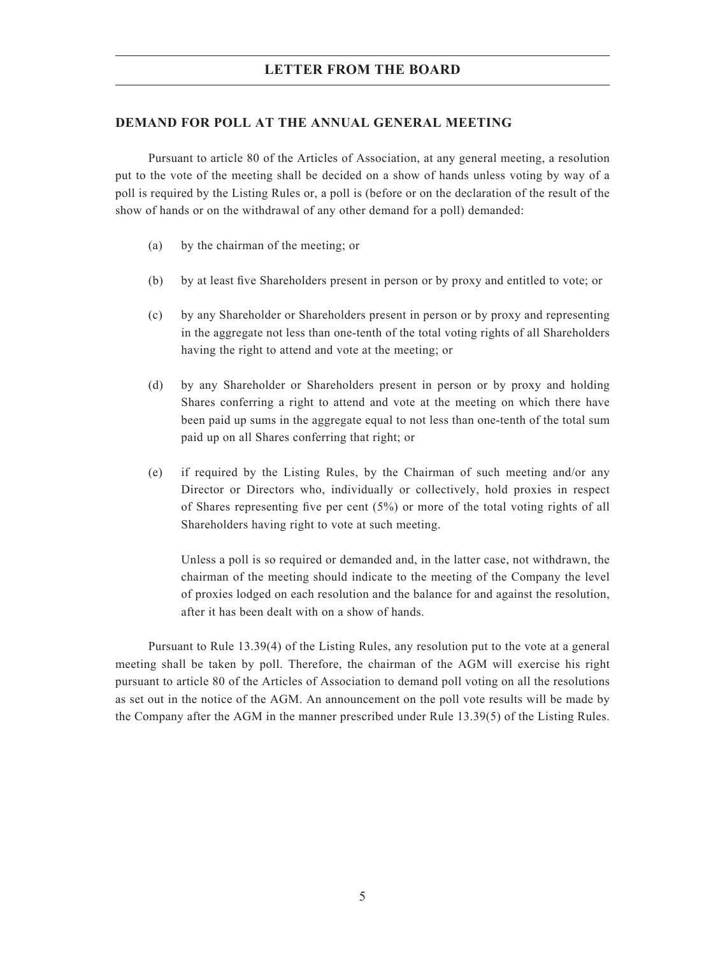#### **DEMAND FOR POLL AT THE ANNUAL GENERAL MEETING**

Pursuant to article 80 of the Articles of Association, at any general meeting, a resolution put to the vote of the meeting shall be decided on a show of hands unless voting by way of a poll is required by the Listing Rules or, a poll is (before or on the declaration of the result of the show of hands or on the withdrawal of any other demand for a poll) demanded:

- (a) by the chairman of the meeting; or
- (b) by at least five Shareholders present in person or by proxy and entitled to vote; or
- (c) by any Shareholder or Shareholders present in person or by proxy and representing in the aggregate not less than one-tenth of the total voting rights of all Shareholders having the right to attend and vote at the meeting; or
- (d) by any Shareholder or Shareholders present in person or by proxy and holding Shares conferring a right to attend and vote at the meeting on which there have been paid up sums in the aggregate equal to not less than one-tenth of the total sum paid up on all Shares conferring that right; or
- (e) if required by the Listing Rules, by the Chairman of such meeting and/or any Director or Directors who, individually or collectively, hold proxies in respect of Shares representing five per cent  $(5%)$  or more of the total voting rights of all Shareholders having right to vote at such meeting.

Unless a poll is so required or demanded and, in the latter case, not withdrawn, the chairman of the meeting should indicate to the meeting of the Company the level of proxies lodged on each resolution and the balance for and against the resolution, after it has been dealt with on a show of hands.

Pursuant to Rule 13.39(4) of the Listing Rules, any resolution put to the vote at a general meeting shall be taken by poll. Therefore, the chairman of the AGM will exercise his right pursuant to article 80 of the Articles of Association to demand poll voting on all the resolutions as set out in the notice of the AGM. An announcement on the poll vote results will be made by the Company after the AGM in the manner prescribed under Rule 13.39(5) of the Listing Rules.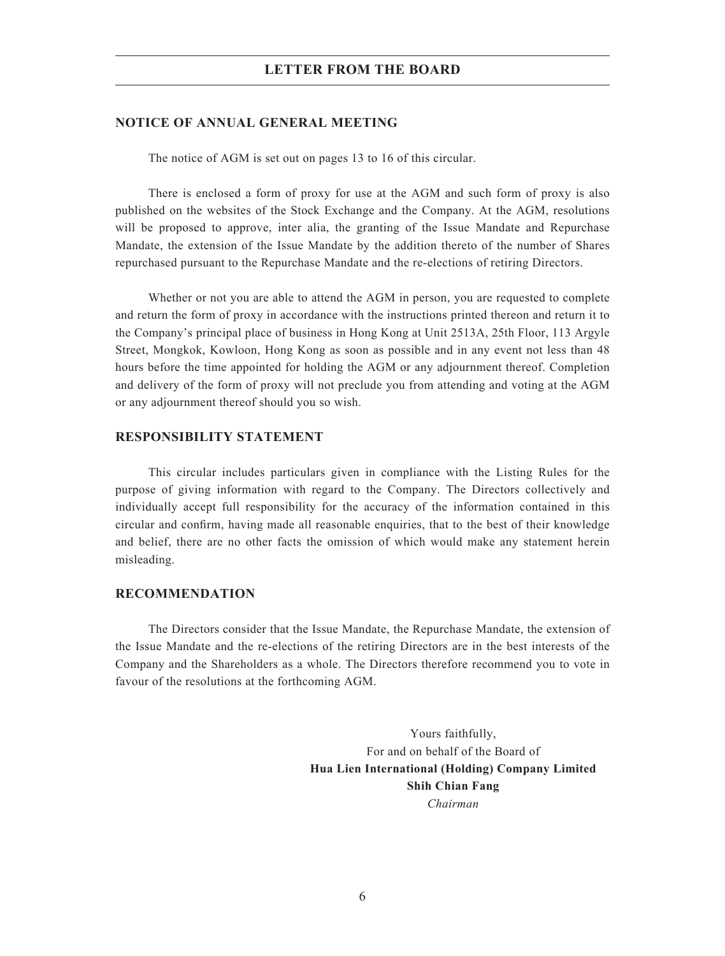#### **NOTICE OF ANNUAL GENERAL MEETING**

The notice of AGM is set out on pages 13 to 16 of this circular.

There is enclosed a form of proxy for use at the AGM and such form of proxy is also published on the websites of the Stock Exchange and the Company. At the AGM, resolutions will be proposed to approve, inter alia, the granting of the Issue Mandate and Repurchase Mandate, the extension of the Issue Mandate by the addition thereto of the number of Shares repurchased pursuant to the Repurchase Mandate and the re-elections of retiring Directors.

Whether or not you are able to attend the AGM in person, you are requested to complete and return the form of proxy in accordance with the instructions printed thereon and return it to the Company's principal place of business in Hong Kong at Unit 2513A, 25th Floor, 113 Argyle Street, Mongkok, Kowloon, Hong Kong as soon as possible and in any event not less than 48 hours before the time appointed for holding the AGM or any adjournment thereof. Completion and delivery of the form of proxy will not preclude you from attending and voting at the AGM or any adjournment thereof should you so wish.

#### **RESPONSIBILITY STATEMENT**

This circular includes particulars given in compliance with the Listing Rules for the purpose of giving information with regard to the Company. The Directors collectively and individually accept full responsibility for the accuracy of the information contained in this circular and confirm, having made all reasonable enquiries, that to the best of their knowledge and belief, there are no other facts the omission of which would make any statement herein misleading.

#### **RECOMMENDATION**

The Directors consider that the Issue Mandate, the Repurchase Mandate, the extension of the Issue Mandate and the re-elections of the retiring Directors are in the best interests of the Company and the Shareholders as a whole. The Directors therefore recommend you to vote in favour of the resolutions at the forthcoming AGM.

> Yours faithfully, For and on behalf of the Board of **Hua Lien International (Holding) Company Limited Shih Chian Fang** *Chairman*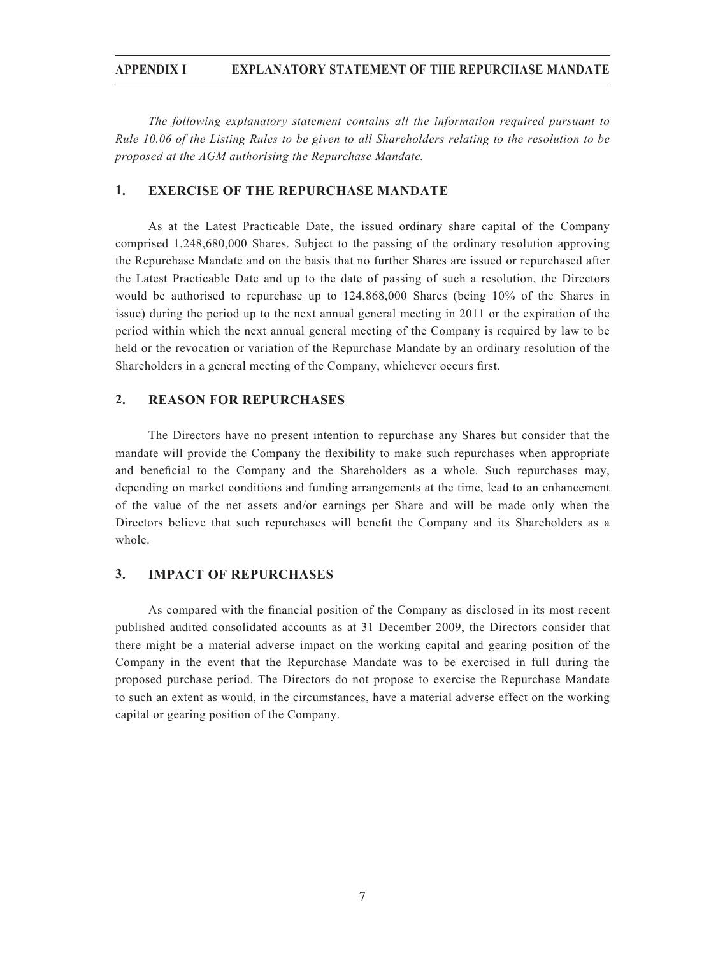#### **APPENDIX I EXPLANATORY STATEMENT OF THE REPURCHASE MANDATE**

*The following explanatory statement contains all the information required pursuant to Rule 10.06 of the Listing Rules to be given to all Shareholders relating to the resolution to be proposed at the AGM authorising the Repurchase Mandate.*

### **1. EXERCISE OF THE REPURCHASE MANDATE**

As at the Latest Practicable Date, the issued ordinary share capital of the Company comprised 1,248,680,000 Shares. Subject to the passing of the ordinary resolution approving the Repurchase Mandate and on the basis that no further Shares are issued or repurchased after the Latest Practicable Date and up to the date of passing of such a resolution, the Directors would be authorised to repurchase up to 124,868,000 Shares (being 10% of the Shares in issue) during the period up to the next annual general meeting in 2011 or the expiration of the period within which the next annual general meeting of the Company is required by law to be held or the revocation or variation of the Repurchase Mandate by an ordinary resolution of the Shareholders in a general meeting of the Company, whichever occurs first.

#### **2. REASON FOR REPURCHASES**

The Directors have no present intention to repurchase any Shares but consider that the mandate will provide the Company the flexibility to make such repurchases when appropriate and beneficial to the Company and the Shareholders as a whole. Such repurchases may, depending on market conditions and funding arrangements at the time, lead to an enhancement of the value of the net assets and/or earnings per Share and will be made only when the Directors believe that such repurchases will benefit the Company and its Shareholders as a whole.

#### **3. IMPACT OF REPURCHASES**

As compared with the financial position of the Company as disclosed in its most recent published audited consolidated accounts as at 31 December 2009, the Directors consider that there might be a material adverse impact on the working capital and gearing position of the Company in the event that the Repurchase Mandate was to be exercised in full during the proposed purchase period. The Directors do not propose to exercise the Repurchase Mandate to such an extent as would, in the circumstances, have a material adverse effect on the working capital or gearing position of the Company.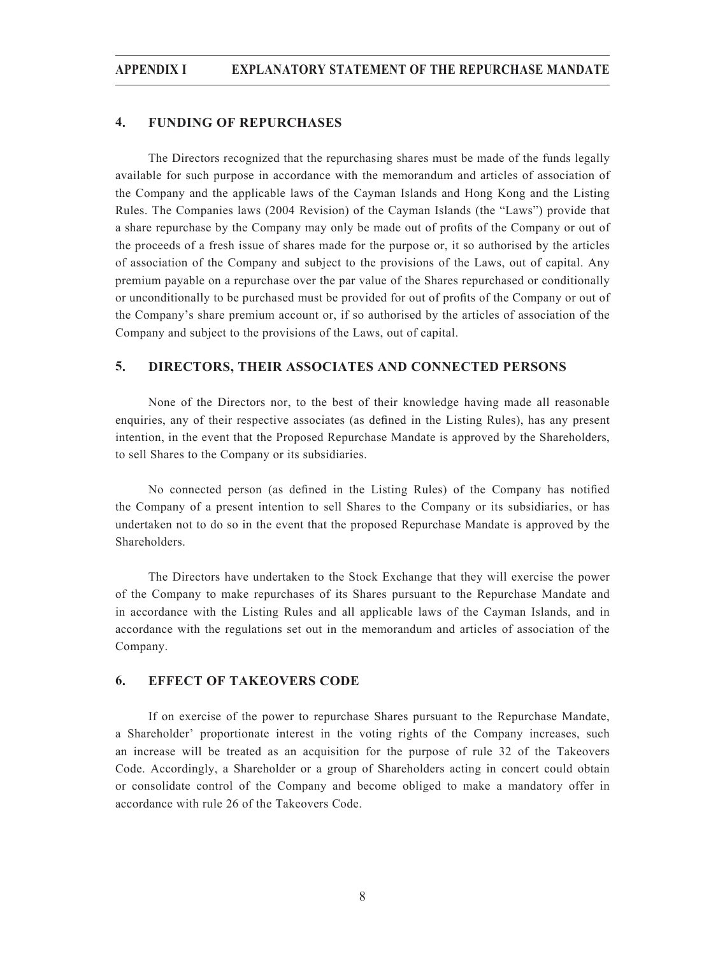### **4. FUNDING OF REPURCHASES**

The Directors recognized that the repurchasing shares must be made of the funds legally available for such purpose in accordance with the memorandum and articles of association of the Company and the applicable laws of the Cayman Islands and Hong Kong and the Listing Rules. The Companies laws (2004 Revision) of the Cayman Islands (the "Laws") provide that a share repurchase by the Company may only be made out of profits of the Company or out of the proceeds of a fresh issue of shares made for the purpose or, it so authorised by the articles of association of the Company and subject to the provisions of the Laws, out of capital. Any premium payable on a repurchase over the par value of the Shares repurchased or conditionally or unconditionally to be purchased must be provided for out of profits of the Company or out of the Company's share premium account or, if so authorised by the articles of association of the Company and subject to the provisions of the Laws, out of capital.

#### **5. DIRECTORS, THEIR ASSOCIATES AND CONNECTED PERSONS**

None of the Directors nor, to the best of their knowledge having made all reasonable enquiries, any of their respective associates (as defined in the Listing Rules), has any present intention, in the event that the Proposed Repurchase Mandate is approved by the Shareholders, to sell Shares to the Company or its subsidiaries.

No connected person (as defined in the Listing Rules) of the Company has notified the Company of a present intention to sell Shares to the Company or its subsidiaries, or has undertaken not to do so in the event that the proposed Repurchase Mandate is approved by the Shareholders.

The Directors have undertaken to the Stock Exchange that they will exercise the power of the Company to make repurchases of its Shares pursuant to the Repurchase Mandate and in accordance with the Listing Rules and all applicable laws of the Cayman Islands, and in accordance with the regulations set out in the memorandum and articles of association of the Company.

#### **6. EFFECT OF TAKEOVERS CODE**

If on exercise of the power to repurchase Shares pursuant to the Repurchase Mandate, a Shareholder' proportionate interest in the voting rights of the Company increases, such an increase will be treated as an acquisition for the purpose of rule 32 of the Takeovers Code. Accordingly, a Shareholder or a group of Shareholders acting in concert could obtain or consolidate control of the Company and become obliged to make a mandatory offer in accordance with rule 26 of the Takeovers Code.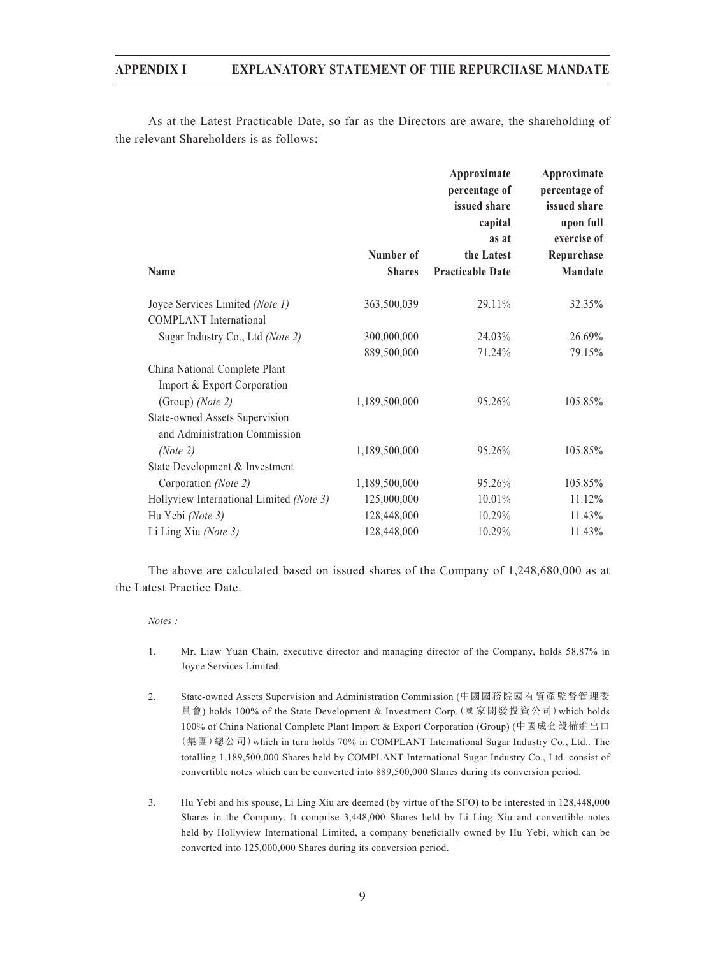As at the Latest Practicable Date, so far as the Directors are aware, the shareholding of the relevant Shareholders is as follows:

|               | Approximate<br>percentage of<br>issued share<br>capital | Approximate<br>percentage of<br>issued share<br>upon full<br>exercise of |
|---------------|---------------------------------------------------------|--------------------------------------------------------------------------|
| Number of     | the Latest                                              | Repurchase                                                               |
| <b>Shares</b> | <b>Practicable Date</b>                                 | Mandate                                                                  |
| 363,500,039   | 29.11%                                                  | 32.35%                                                                   |
| 300,000,000   | 24.03%                                                  | 26.69%                                                                   |
| 889,500,000   | 71.24%                                                  | 79.15%                                                                   |
|               |                                                         | 105.85%                                                                  |
|               |                                                         |                                                                          |
| 1,189,500,000 | 95.26%                                                  | 105.85%                                                                  |
|               |                                                         |                                                                          |
| 1,189,500,000 | 95.26%                                                  | 105.85%                                                                  |
| 125,000,000   | 10.01%                                                  | 11.12%                                                                   |
| 128,448,000   | 10.29%                                                  | 11.43%                                                                   |
| 128,448,000   | 10.29%                                                  | 11.43%                                                                   |
|               | 1,189,500,000                                           | as at<br>95.26%                                                          |

The above are calculated based on issued shares of the Company of 1,248,680,000 as at the Latest Practice Date.

*Notes :*

- 1. Mr. Liaw Yuan Chain, executive director and managing director of the Company, holds 58.87% in Joyce Services Limited.
- 2. State-owned Assets Supervision and Administration Commission (中國國務院國有資產監督管理委 員會) holds 100% of the State Development & Investment Corp.(國家開發投資公司)which holds 100% of China National Complete Plant Import & Export Corporation (Group) (中國成套設備進出口 (集團)總公司)which in turn holds 70% in COMPLANT International Sugar Industry Co., Ltd.. The totalling 1,189,500,000 Shares held by COMPLANT International Sugar Industry Co., Ltd. consist of convertible notes which can be converted into 889,500,000 Shares during its conversion period.
- 3. Hu Yebi and his spouse, Li Ling Xiu are deemed (by virtue of the SFO) to be interested in 128,448,000 Shares in the Company. It comprise 3,448,000 Shares held by Li Ling Xiu and convertible notes held by Hollyview International Limited, a company beneficially owned by Hu Yebi, which can be converted into 125,000,000 Shares during its conversion period.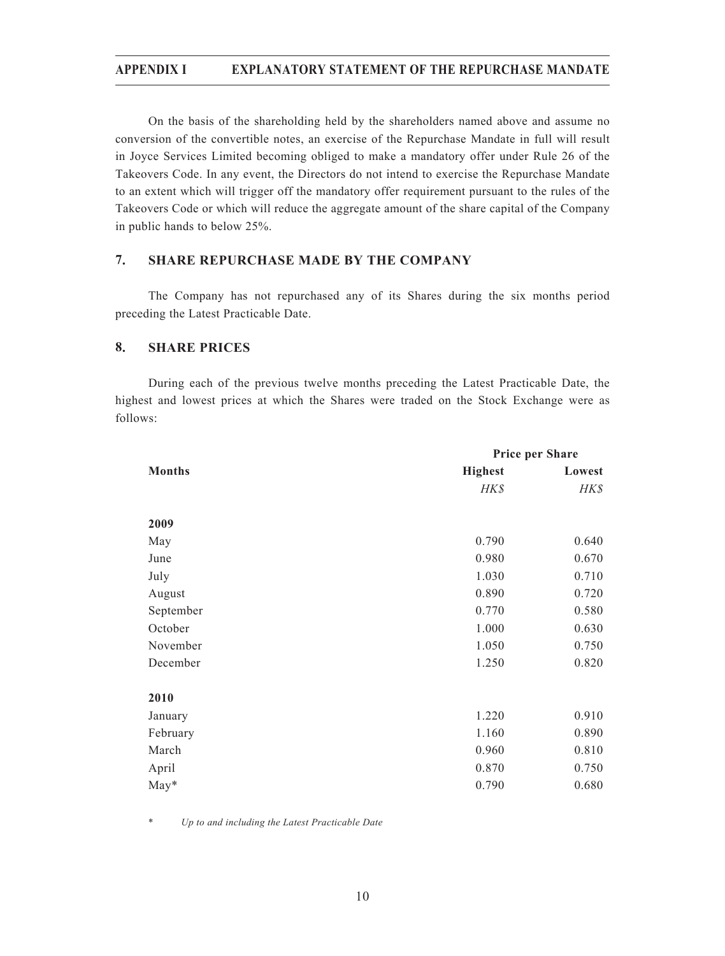On the basis of the shareholding held by the shareholders named above and assume no conversion of the convertible notes, an exercise of the Repurchase Mandate in full will result in Joyce Services Limited becoming obliged to make a mandatory offer under Rule 26 of the Takeovers Code. In any event, the Directors do not intend to exercise the Repurchase Mandate to an extent which will trigger off the mandatory offer requirement pursuant to the rules of the Takeovers Code or which will reduce the aggregate amount of the share capital of the Company in public hands to below 25%.

## **7. SHARE REPURCHASE MADE BY THE COMPANY**

The Company has not repurchased any of its Shares during the six months period preceding the Latest Practicable Date.

#### **8. SHARE PRICES**

During each of the previous twelve months preceding the Latest Practicable Date, the highest and lowest prices at which the Shares were traded on the Stock Exchange were as follows:

|               | <b>Price per Share</b> |        |
|---------------|------------------------|--------|
| <b>Months</b> | <b>Highest</b>         | Lowest |
|               | HK\$                   | HK\$   |
|               |                        |        |
| 2009          |                        |        |
| May           | 0.790                  | 0.640  |
| June          | 0.980                  | 0.670  |
| July          | 1.030                  | 0.710  |
| August        | 0.890                  | 0.720  |
| September     | 0.770                  | 0.580  |
| October       | 1.000                  | 0.630  |
| November      | 1.050                  | 0.750  |
| December      | 1.250                  | 0.820  |
|               |                        |        |
| 2010          |                        |        |
| January       | 1.220                  | 0.910  |
| February      | 1.160                  | 0.890  |
| March         | 0.960                  | 0.810  |
| April         | 0.870                  | 0.750  |
| May*          | 0.790                  | 0.680  |

\* *Up to and including the Latest Practicable Date*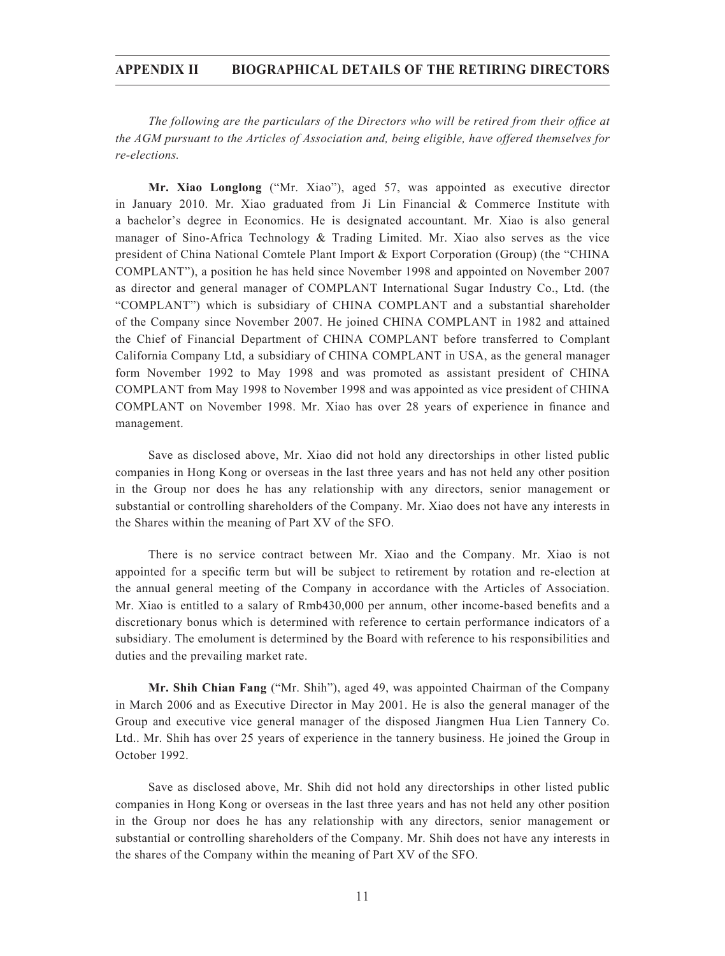#### **APPENDIX II BIOGRAPHICAL DETAILS OF THE RETIRING DIRECTORS**

*The following are the particulars of the Directors who will be retired from their office at the AGM pursuant to the Articles of Association and, being eligible, have offered themselves for re-elections.*

**Mr. Xiao Longlong** ("Mr. Xiao"), aged 57, was appointed as executive director in January 2010. Mr. Xiao graduated from Ji Lin Financial  $\&$  Commerce Institute with a bachelor's degree in Economics. He is designated accountant. Mr. Xiao is also general manager of Sino-Africa Technology & Trading Limited. Mr. Xiao also serves as the vice president of China National Comtele Plant Import & Export Corporation (Group) (the "CHINA COMPLANT"), a position he has held since November 1998 and appointed on November 2007 as director and general manager of COMPLANT International Sugar Industry Co., Ltd. (the "COMPLANT") which is subsidiary of CHINA COMPLANT and a substantial shareholder of the Company since November 2007. He joined CHINA COMPLANT in 1982 and attained the Chief of Financial Department of CHINA COMPLANT before transferred to Complant California Company Ltd, a subsidiary of CHINA COMPLANT in USA, as the general manager form November 1992 to May 1998 and was promoted as assistant president of CHINA COMPLANT from May 1998 to November 1998 and was appointed as vice president of CHINA COMPLANT on November 1998. Mr. Xiao has over 28 years of experience in finance and management.

Save as disclosed above, Mr. Xiao did not hold any directorships in other listed public companies in Hong Kong or overseas in the last three years and has not held any other position in the Group nor does he has any relationship with any directors, senior management or substantial or controlling shareholders of the Company. Mr. Xiao does not have any interests in the Shares within the meaning of Part XV of the SFO.

There is no service contract between Mr. Xiao and the Company. Mr. Xiao is not appointed for a specific term but will be subject to retirement by rotation and re-election at the annual general meeting of the Company in accordance with the Articles of Association. Mr. Xiao is entitled to a salary of  $Rmb430,000$  per annum, other income-based benefits and a discretionary bonus which is determined with reference to certain performance indicators of a subsidiary. The emolument is determined by the Board with reference to his responsibilities and duties and the prevailing market rate.

**Mr. Shih Chian Fang** ("Mr. Shih"), aged 49, was appointed Chairman of the Company in March 2006 and as Executive Director in May 2001. He is also the general manager of the Group and executive vice general manager of the disposed Jiangmen Hua Lien Tannery Co. Ltd.. Mr. Shih has over 25 years of experience in the tannery business. He joined the Group in October 1992.

Save as disclosed above, Mr. Shih did not hold any directorships in other listed public companies in Hong Kong or overseas in the last three years and has not held any other position in the Group nor does he has any relationship with any directors, senior management or substantial or controlling shareholders of the Company. Mr. Shih does not have any interests in the shares of the Company within the meaning of Part XV of the SFO.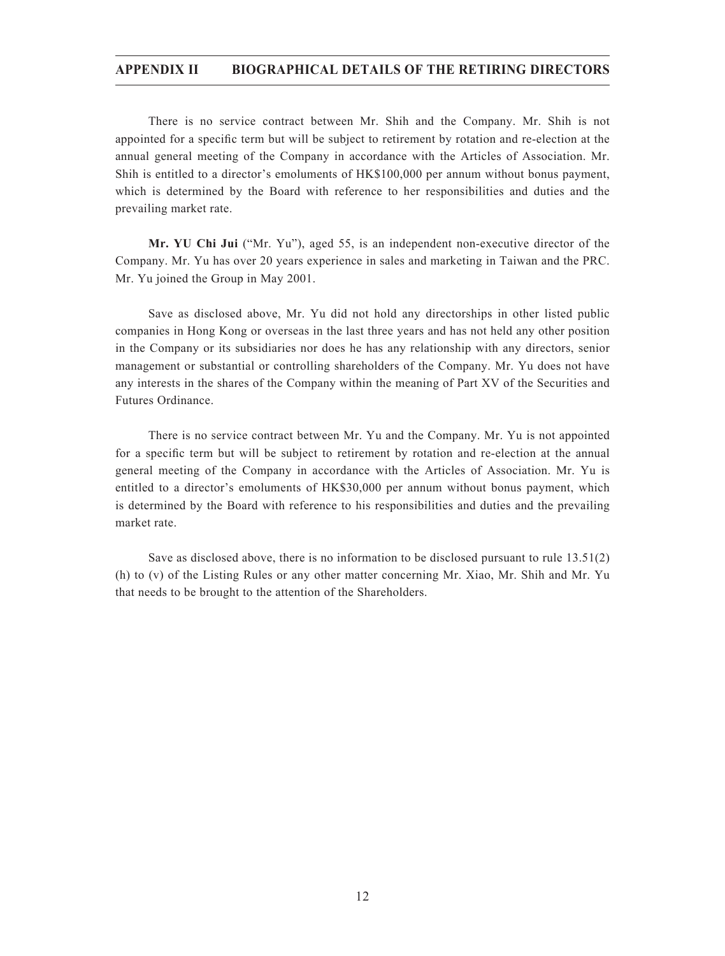#### **APPENDIX II BIOGRAPHICAL DETAILS OF THE RETIRING DIRECTORS**

There is no service contract between Mr. Shih and the Company. Mr. Shih is not appointed for a specific term but will be subject to retirement by rotation and re-election at the annual general meeting of the Company in accordance with the Articles of Association. Mr. Shih is entitled to a director's emoluments of HK\$100,000 per annum without bonus payment, which is determined by the Board with reference to her responsibilities and duties and the prevailing market rate.

**Mr. YU Chi Jui** ("Mr. Yu"), aged 55, is an independent non-executive director of the Company. Mr. Yu has over 20 years experience in sales and marketing in Taiwan and the PRC. Mr. Yu joined the Group in May 2001.

Save as disclosed above, Mr. Yu did not hold any directorships in other listed public companies in Hong Kong or overseas in the last three years and has not held any other position in the Company or its subsidiaries nor does he has any relationship with any directors, senior management or substantial or controlling shareholders of the Company. Mr. Yu does not have any interests in the shares of the Company within the meaning of Part XV of the Securities and Futures Ordinance.

There is no service contract between Mr. Yu and the Company. Mr. Yu is not appointed for a specific term but will be subject to retirement by rotation and re-election at the annual general meeting of the Company in accordance with the Articles of Association. Mr. Yu is entitled to a director's emoluments of HK\$30,000 per annum without bonus payment, which is determined by the Board with reference to his responsibilities and duties and the prevailing market rate.

Save as disclosed above, there is no information to be disclosed pursuant to rule 13.51(2) (h) to (v) of the Listing Rules or any other matter concerning Mr. Xiao, Mr. Shih and Mr. Yu that needs to be brought to the attention of the Shareholders.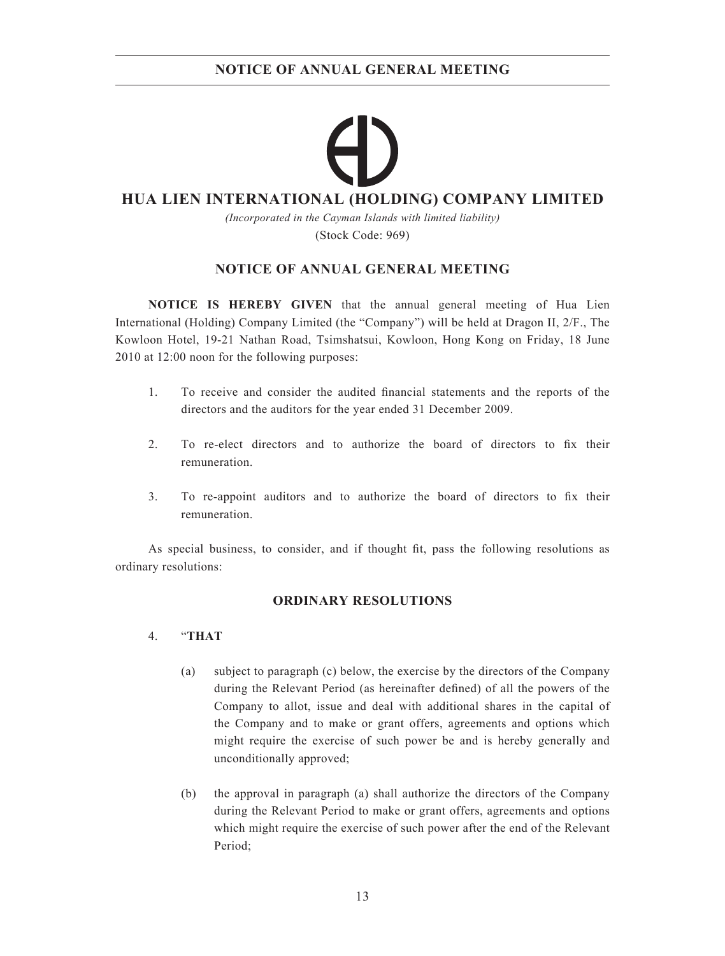## **HUA LIEN INTERNATIONAL (HOLDING) COMPANY LIMITED**

*(Incorporated in the Cayman Islands with limited liability)* (Stock Code: 969)

## **NOTICE OF ANNUAL GENERAL MEETING**

**NOTICE IS HEREBY GIVEN** that the annual general meeting of Hua Lien International (Holding) Company Limited (the "Company") will be held at Dragon II, 2/F., The Kowloon Hotel, 19-21 Nathan Road, Tsimshatsui, Kowloon, Hong Kong on Friday, 18 June 2010 at 12:00 noon for the following purposes:

- 1. To receive and consider the audited financial statements and the reports of the directors and the auditors for the year ended 31 December 2009.
- 2. To re-elect directors and to authorize the board of directors to fix their remuneration.
- 3. To re-appoint auditors and to authorize the board of directors to fix their remuneration.

As special business, to consider, and if thought fit, pass the following resolutions as ordinary resolutions:

## **ORDINARY RESOLUTIONS**

### 4. "**THAT**

- (a) subject to paragraph (c) below, the exercise by the directors of the Company during the Relevant Period (as hereinafter defined) of all the powers of the Company to allot, issue and deal with additional shares in the capital of the Company and to make or grant offers, agreements and options which might require the exercise of such power be and is hereby generally and unconditionally approved;
- (b) the approval in paragraph (a) shall authorize the directors of the Company during the Relevant Period to make or grant offers, agreements and options which might require the exercise of such power after the end of the Relevant Period;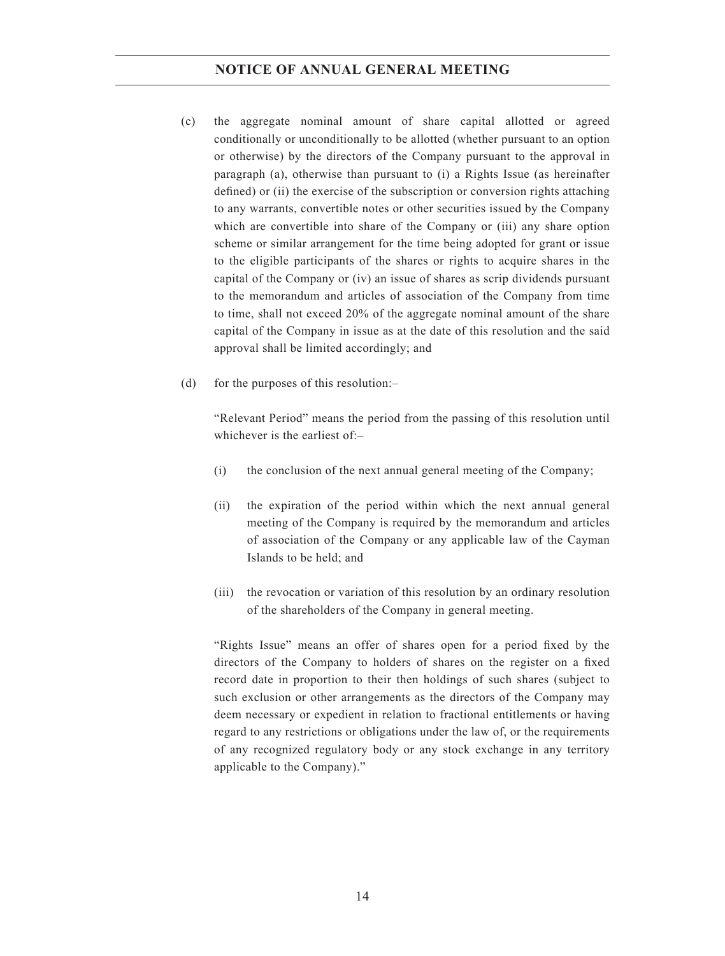#### **NOTICE OF ANNUAL GENERAL MEETING**

- (c) the aggregate nominal amount of share capital allotted or agreed conditionally or unconditionally to be allotted (whether pursuant to an option or otherwise) by the directors of the Company pursuant to the approval in paragraph (a), otherwise than pursuant to (i) a Rights Issue (as hereinafter defined) or (ii) the exercise of the subscription or conversion rights attaching to any warrants, convertible notes or other securities issued by the Company which are convertible into share of the Company or (iii) any share option scheme or similar arrangement for the time being adopted for grant or issue to the eligible participants of the shares or rights to acquire shares in the capital of the Company or (iv) an issue of shares as scrip dividends pursuant to the memorandum and articles of association of the Company from time to time, shall not exceed 20% of the aggregate nominal amount of the share capital of the Company in issue as at the date of this resolution and the said approval shall be limited accordingly; and
- (d) for the purposes of this resolution:–

"Relevant Period" means the period from the passing of this resolution until whichever is the earliest of $-$ 

- (i) the conclusion of the next annual general meeting of the Company;
- (ii) the expiration of the period within which the next annual general meeting of the Company is required by the memorandum and articles of association of the Company or any applicable law of the Cayman Islands to be held; and
- (iii) the revocation or variation of this resolution by an ordinary resolution of the shareholders of the Company in general meeting.

"Rights Issue" means an offer of shares open for a period fixed by the directors of the Company to holders of shares on the register on a fixed record date in proportion to their then holdings of such shares (subject to such exclusion or other arrangements as the directors of the Company may deem necessary or expedient in relation to fractional entitlements or having regard to any restrictions or obligations under the law of, or the requirements of any recognized regulatory body or any stock exchange in any territory applicable to the Company)."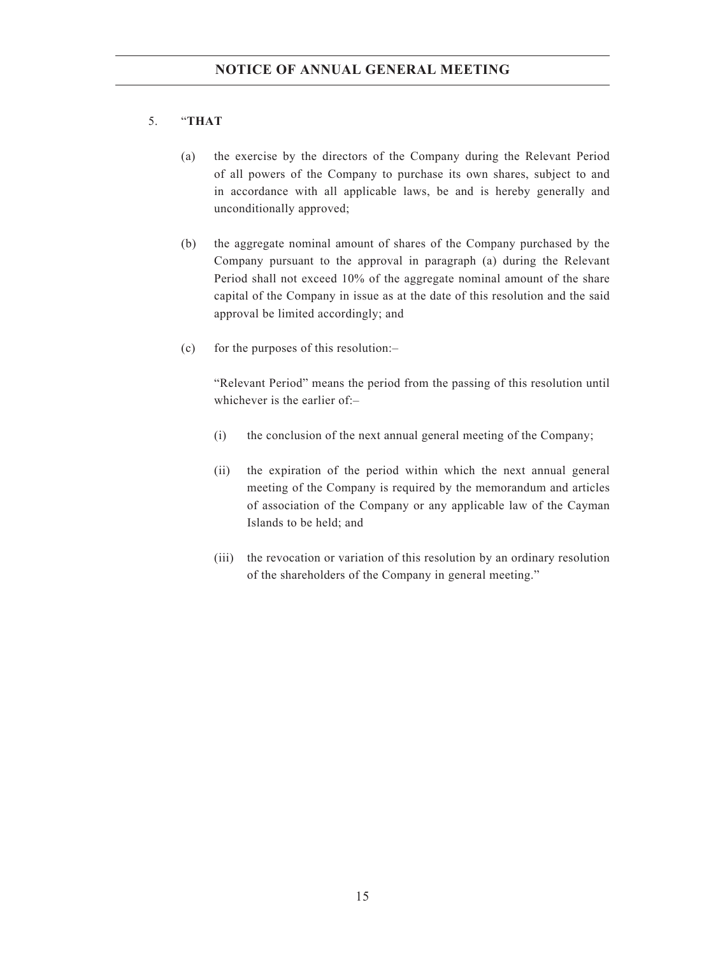### 5. "**THAT**

- (a) the exercise by the directors of the Company during the Relevant Period of all powers of the Company to purchase its own shares, subject to and in accordance with all applicable laws, be and is hereby generally and unconditionally approved;
- (b) the aggregate nominal amount of shares of the Company purchased by the Company pursuant to the approval in paragraph (a) during the Relevant Period shall not exceed 10% of the aggregate nominal amount of the share capital of the Company in issue as at the date of this resolution and the said approval be limited accordingly; and
- (c) for the purposes of this resolution: $-$

"Relevant Period" means the period from the passing of this resolution until whichever is the earlier of:-

- (i) the conclusion of the next annual general meeting of the Company;
- (ii) the expiration of the period within which the next annual general meeting of the Company is required by the memorandum and articles of association of the Company or any applicable law of the Cayman Islands to be held; and
- (iii) the revocation or variation of this resolution by an ordinary resolution of the shareholders of the Company in general meeting."